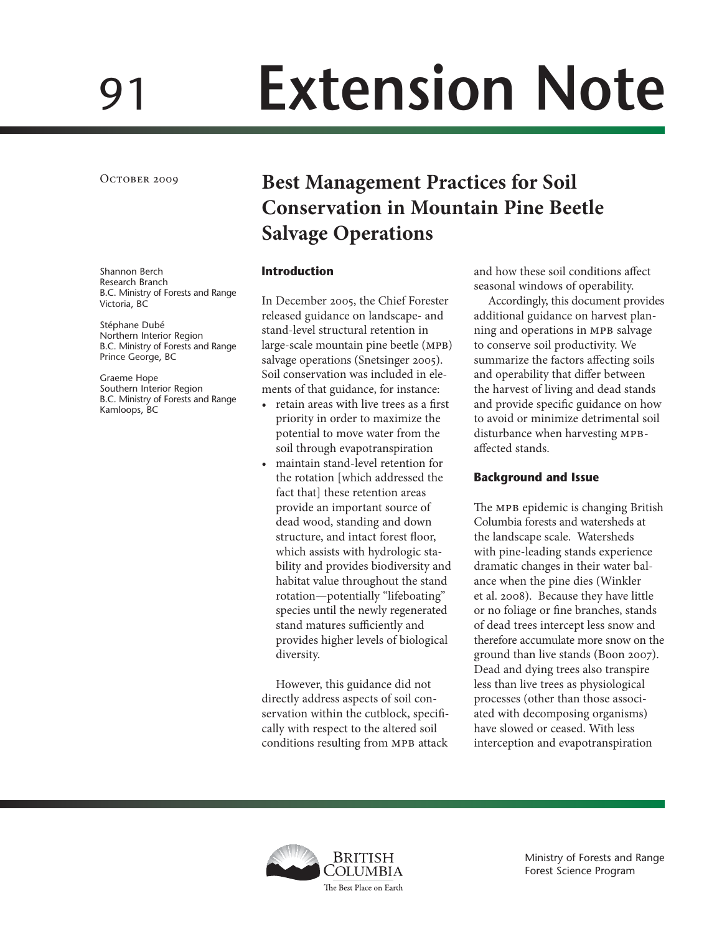# 91 **Extension Note**

OCTOBER 2009

Shannon Berch Research Branch B.C. Ministry of Forests and Range Victoria, BC

Stéphane Dubé Northern Interior Region B.C. Ministry of Forests and Range Prince George, BC

Graeme Hope Southern Interior Region B.C. Ministry of Forests and Range Kamloops, BC

# **Best Management Practices for Soil Conservation in Mountain Pine Beetle Salvage Operations**

#### **Introduction**

In December 2005, the Chief Forester released guidance on landscape- and stand-level structural retention in large-scale mountain pine beetle (mpb) salvage operations (Snetsinger 2005). Soil conservation was included in elements of that guidance, for instance:

- • retain areas with live trees as a first priority in order to maximize the potential to move water from the soil through evapotranspiration
- maintain stand-level retention for the rotation [which addressed the fact that] these retention areas provide an important source of dead wood, standing and down structure, and intact forest floor, which assists with hydrologic stability and provides biodiversity and habitat value throughout the stand rotation—potentially "lifeboating" species until the newly regenerated stand matures sufficiently and provides higher levels of biological diversity.

However, this guidance did not directly address aspects of soil conservation within the cutblock, specifically with respect to the altered soil conditions resulting from MPB attack

and how these soil conditions affect seasonal windows of operability.

Accordingly, this document provides additional guidance on harvest planning and operations in MPB salvage to conserve soil productivity. We summarize the factors affecting soils and operability that differ between the harvest of living and dead stands and provide specific guidance on how to avoid or minimize detrimental soil disturbance when harvesting MPBaffected stands.

#### **Background and Issue**

The MPB epidemic is changing British Columbia forests and watersheds at the landscape scale. Watersheds with pine-leading stands experience dramatic changes in their water balance when the pine dies (Winkler et al. 2008). Because they have little or no foliage or fine branches, stands of dead trees intercept less snow and therefore accumulate more snow on the ground than live stands (Boon 2007). Dead and dying trees also transpire less than live trees as physiological processes (other than those associated with decomposing organisms) have slowed or ceased. With less interception and evapotranspiration



Ministry of Forests and Range Forest Science Program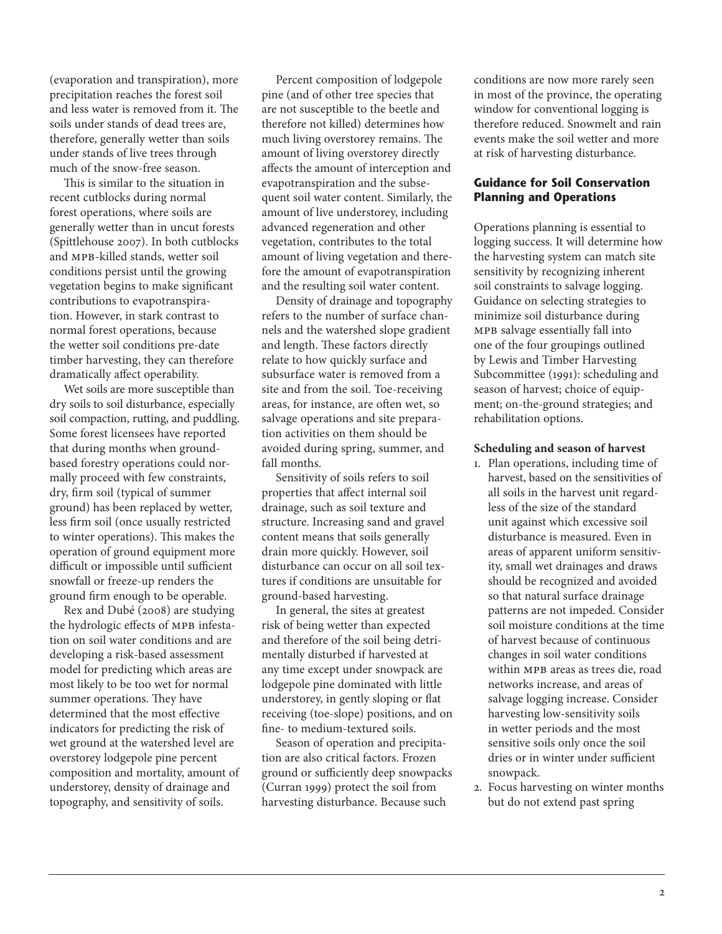(evaporation and transpiration), more precipitation reaches the forest soil and less water is removed from it. The soils under stands of dead trees are, therefore, generally wetter than soils under stands of live trees through much of the snow-free season.

This is similar to the situation in recent cutblocks during normal forest operations, where soils are generally wetter than in uncut forests (Spittlehouse 2007). In both cutblocks and mpb-killed stands, wetter soil conditions persist until the growing vegetation begins to make significant contributions to evapotranspiration. However, in stark contrast to normal forest operations, because the wetter soil conditions pre-date timber harvesting, they can therefore dramatically affect operability.

Wet soils are more susceptible than dry soils to soil disturbance, especially soil compaction, rutting, and puddling. Some forest licensees have reported that during months when groundbased forestry operations could normally proceed with few constraints, dry, firm soil (typical of summer ground) has been replaced by wetter, less firm soil (once usually restricted to winter operations). This makes the operation of ground equipment more difficult or impossible until sufficient snowfall or freeze-up renders the ground firm enough to be operable.

Rex and Dubé (2008) are studying the hydrologic effects of MPB infestation on soil water conditions and are developing a risk-based assessment model for predicting which areas are most likely to be too wet for normal summer operations. They have determined that the most effective indicators for predicting the risk of wet ground at the watershed level are overstorey lodgepole pine percent composition and mortality, amount of understorey, density of drainage and topography, and sensitivity of soils.

Percent composition of lodgepole pine (and of other tree species that are not susceptible to the beetle and therefore not killed) determines how much living overstorey remains. The amount of living overstorey directly affects the amount of interception and evapotranspiration and the subsequent soil water content. Similarly, the amount of live understorey, including advanced regeneration and other vegetation, contributes to the total amount of living vegetation and therefore the amount of evapotranspiration and the resulting soil water content.

Density of drainage and topography refers to the number of surface channels and the watershed slope gradient and length. These factors directly relate to how quickly surface and subsurface water is removed from a site and from the soil. Toe-receiving areas, for instance, are often wet, so salvage operations and site preparation activities on them should be avoided during spring, summer, and fall months.

Sensitivity of soils refers to soil properties that affect internal soil drainage, such as soil texture and structure. Increasing sand and gravel content means that soils generally drain more quickly. However, soil disturbance can occur on all soil textures if conditions are unsuitable for ground-based harvesting.

In general, the sites at greatest risk of being wetter than expected and therefore of the soil being detrimentally disturbed if harvested at any time except under snowpack are lodgepole pine dominated with little understorey, in gently sloping or flat receiving (toe-slope) positions, and on fine- to medium-textured soils.

Season of operation and precipitation are also critical factors. Frozen ground or sufficiently deep snowpacks (Curran 1999) protect the soil from harvesting disturbance. Because such

conditions are now more rarely seen in most of the province, the operating window for conventional logging is therefore reduced. Snowmelt and rain events make the soil wetter and more at risk of harvesting disturbance.

### **Guidance for Soil Conservation Planning and Operations**

Operations planning is essential to logging success. It will determine how the harvesting system can match site sensitivity by recognizing inherent soil constraints to salvage logging. Guidance on selecting strategies to minimize soil disturbance during mpb salvage essentially fall into one of the four groupings outlined by Lewis and Timber Harvesting Subcommittee (1991): scheduling and season of harvest; choice of equipment; on-the-ground strategies; and rehabilitation options.

#### **Scheduling and season of harvest**

- 1. Plan operations, including time of harvest, based on the sensitivities of all soils in the harvest unit regardless of the size of the standard unit against which excessive soil disturbance is measured. Even in areas of apparent uniform sensitivity, small wet drainages and draws should be recognized and avoided so that natural surface drainage patterns are not impeded. Consider soil moisture conditions at the time of harvest because of continuous changes in soil water conditions within MPB areas as trees die, road networks increase, and areas of salvage logging increase. Consider harvesting low-sensitivity soils in wetter periods and the most sensitive soils only once the soil dries or in winter under sufficient snowpack.
- 2. Focus harvesting on winter months but do not extend past spring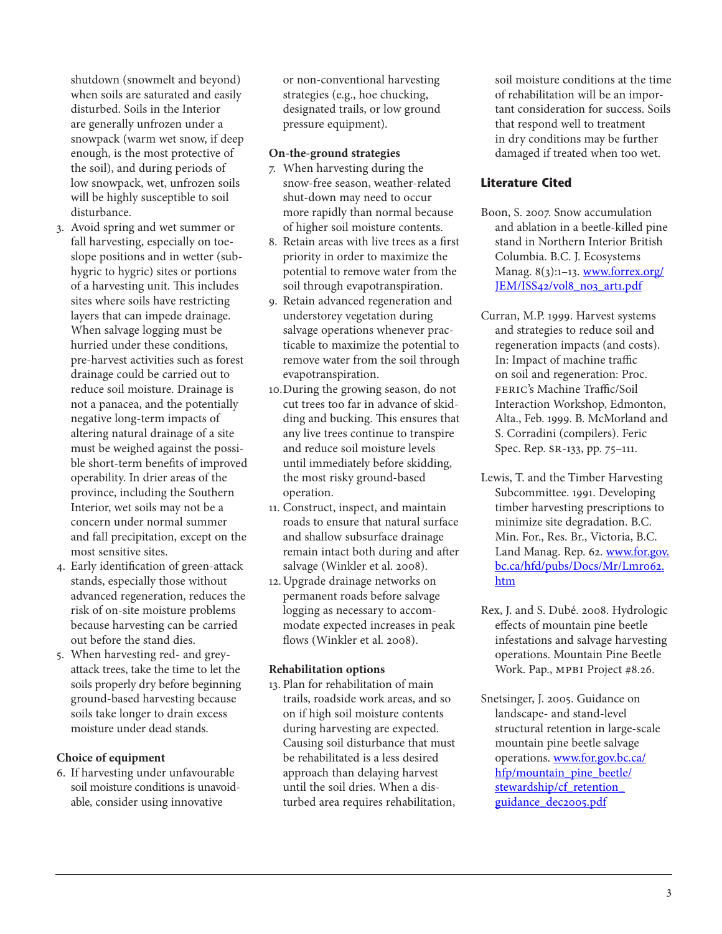shutdown (snowmelt and beyond) when soils are saturated and easily disturbed. Soils in the Interior are generally unfrozen under a snowpack (warm wet snow, if deep enough, is the most protective of the soil), and during periods of low snowpack, wet, unfrozen soils will be highly susceptible to soil disturbance.

- 3. Avoid spring and wet summer or fall harvesting, especially on toeslope positions and in wetter (subhygric to hygric) sites or portions of a harvesting unit. This includes sites where soils have restricting layers that can impede drainage. When salvage logging must be hurried under these conditions, pre-harvest activities such as forest drainage could be carried out to reduce soil moisture. Drainage is not a panacea, and the potentially negative long-term impacts of altering natural drainage of a site must be weighed against the possible short-term benefits of improved operability. In drier areas of the province, including the Southern Interior, wet soils may not be a concern under normal summer and fall precipitation, except on the most sensitive sites.
- 4. Early identification of green-attack stands, especially those without advanced regeneration, reduces the risk of on-site moisture problems because harvesting can be carried out before the stand dies.
- 5. When harvesting red- and greyattack trees, take the time to let the soils properly dry before beginning ground-based harvesting because soils take longer to drain excess moisture under dead stands.

#### **Choice of equipment**

6. If harvesting under unfavourable soil moisture conditions is unavoidable, consider using innovative

or non-conventional harvesting strategies (e.g., hoe chucking, designated trails, or low ground pressure equipment).

#### **On-the-ground strategies**

- 7. When harvesting during the snow-free season, weather-related shut-down may need to occur more rapidly than normal because of higher soil moisture contents.
- 8. Retain areas with live trees as a first priority in order to maximize the potential to remove water from the soil through evapotranspiration.
- 9. Retain advanced regeneration and understorey vegetation during salvage operations whenever practicable to maximize the potential to remove water from the soil through evapotranspiration.
- 10.During the growing season, do not cut trees too far in advance of skidding and bucking. This ensures that any live trees continue to transpire and reduce soil moisture levels until immediately before skidding, the most risky ground-based operation.
- 11. Construct, inspect, and maintain roads to ensure that natural surface and shallow subsurface drainage remain intact both during and after salvage (Winkler et al. 2008).
- 12.Upgrade drainage networks on permanent roads before salvage logging as necessary to accommodate expected increases in peak flows (Winkler et al. 2008).

#### **Rehabilitation options**

13. Plan for rehabilitation of main trails, roadside work areas, and so on if high soil moisture contents during harvesting are expected. Causing soil disturbance that must be rehabilitated is a less desired approach than delaying harvest until the soil dries. When a disturbed area requires rehabilitation, soil moisture conditions at the time of rehabilitation will be an important consideration for success. Soils that respond well to treatment in dry conditions may be further damaged if treated when too wet.

## **Literature Cited**

- Boon, S. 2007. Snow accumulation and ablation in a beetle-killed pine stand in Northern Interior British Columbia. B.C. J. Ecosystems Manag. 8(3):1-13. www.forrex.org/ JEM/ISS42/vol8\_no3\_art1.pdf
- Curran, M.P. 1999. Harvest systems and strategies to reduce soil and regeneration impacts (and costs). In: Impact of machine traffic on soil and regeneration: Proc. feric's Machine Traffic/Soil Interaction Workshop, Edmonton, Alta., Feb. 1999. B. McMorland and S. Corradini (compilers). Feric Spec. Rep. sr-133, pp. 75–111.
- Lewis, T. and the Timber Harvesting Subcommittee. 1991. Developing timber harvesting prescriptions to minimize site degradation. B.C. Min. For., Res. Br., Victoria, B.C. Land Manag. Rep. 62. [www.for.gov.](http://www.for.gov.bc.ca/hfd/pubs/Docs/Mr/Lmr062.htm) bc.ca/hfd/pubs/Docs/Mr/Lmro62. [htm](http://www.for.gov.bc.ca/hfd/pubs/Docs/Mr/Lmr062.htm)
- Rex, J. and S. Dubé. 2008. Hydrologic effects of mountain pine beetle infestations and salvage harvesting operations. Mountain Pine Beetle Work. Pap., MPBI Project #8.26.
- Snetsinger, J. 2005. Guidance on landscape- and stand-level structural retention in large-scale mountain pine beetle salvage operations. [www.for.gov.bc.ca/](http://www.for.gov.bc.ca/hfp/mountain_pine_beetle/stewardship/cf_retention_guidance_dec2005.pdf) [hfp/mountain\\_pine\\_beetle/](http://www.for.gov.bc.ca/hfp/mountain_pine_beetle/stewardship/cf_retention_guidance_dec2005.pdf) [stewardship/cf\\_retention\\_](http://www.for.gov.bc.ca/hfp/mountain_pine_beetle/stewardship/cf_retention_guidance_dec2005.pdf) guidance dec2005.pdf